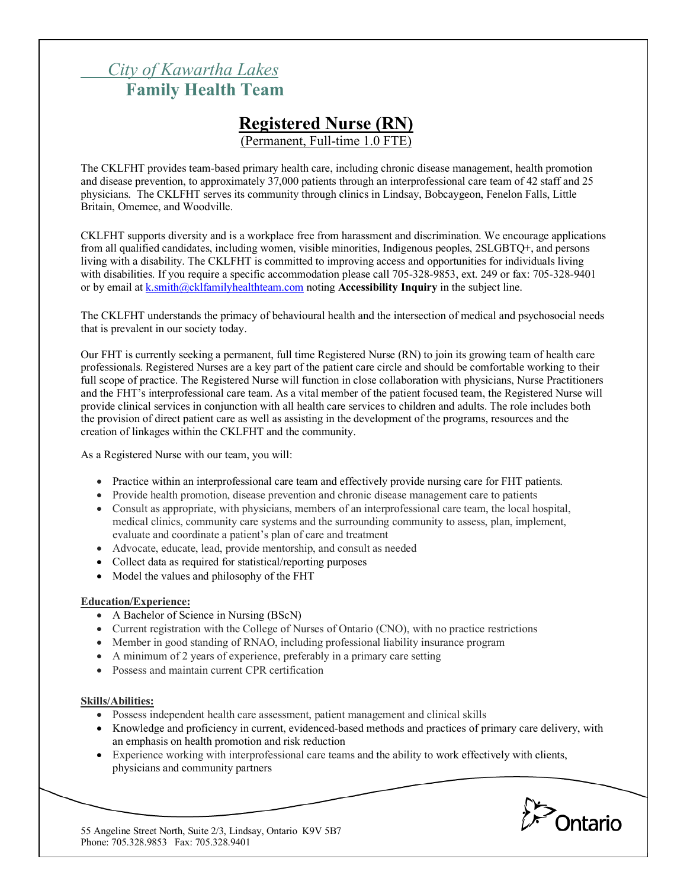## *City of Kawartha Lakes* **Family Health Team**

# **Registered Nurse (RN)**

(Permanent, Full-time 1.0 FTE)

The CKLFHT provides team-based primary health care, including chronic disease management, health promotion and disease prevention, to approximately 37,000 patients through an interprofessional care team of 42 staff and 25 physicians. The CKLFHT serves its community through clinics in Lindsay, Bobcaygeon, Fenelon Falls, Little Britain, Omemee, and Woodville.

CKLFHT supports diversity and is a workplace free from harassment and discrimination. We encourage applications from all qualified candidates, including women, visible minorities, Indigenous peoples, 2SLGBTQ+, and persons living with a disability. The CKLFHT is committed to improving access and opportunities for individuals living with disabilities. If you require a specific accommodation please call 705-328-9853, ext. 249 or fax: 705-328-9401 or by email at k.smith@cklfamilyhealthteam.com noting **Accessibility Inquiry** in the subject line.

The CKLFHT understands the primacy of behavioural health and the intersection of medical and psychosocial needs that is prevalent in our society today.

Our FHT is currently seeking a permanent, full time Registered Nurse (RN) to join its growing team of health care professionals. Registered Nurses are a key part of the patient care circle and should be comfortable working to their full scope of practice. The Registered Nurse will function in close collaboration with physicians, Nurse Practitioners and the FHT's interprofessional care team. As a vital member of the patient focused team, the Registered Nurse will provide clinical services in conjunction with all health care services to children and adults. The role includes both the provision of direct patient care as well as assisting in the development of the programs, resources and the creation of linkages within the CKLFHT and the community.

As a Registered Nurse with our team, you will:

- Practice within an interprofessional care team and effectively provide nursing care for FHT patients.
- Provide health promotion, disease prevention and chronic disease management care to patients
- Consult as appropriate, with physicians, members of an interprofessional care team, the local hospital, medical clinics, community care systems and the surrounding community to assess, plan, implement, evaluate and coordinate a patient's plan of care and treatment
- Advocate, educate, lead, provide mentorship, and consult as needed
- Collect data as required for statistical/reporting purposes
- Model the values and philosophy of the FHT

## **Education/Experience:**

- A Bachelor of Science in Nursing (BScN)
- Current registration with the College of Nurses of Ontario (CNO), with no practice restrictions
- Member in good standing of RNAO, including professional liability insurance program
- A minimum of 2 years of experience, preferably in a primary care setting
- Possess and maintain current CPR certification

#### **Skills/Abilities:**

- Possess independent health care assessment, patient management and clinical skills
- Knowledge and proficiency in current, evidenced-based methods and practices of primary care delivery, with an emphasis on health promotion and risk reduction
- Experience working with interprofessional care teams and the ability to work effectively with clients, physicians and community partners



55 Angeline Street North, Suite 2/3, Lindsay, Ontario K9V 5B7 Phone: 705.328.9853 Fax: 705.328.9401